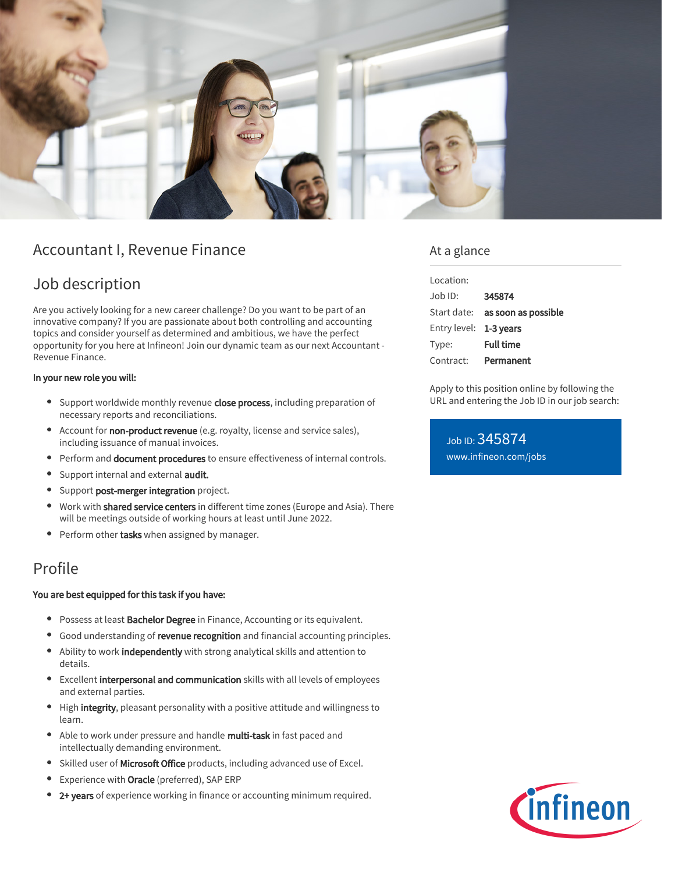

## Accountant I, Revenue Finance

# Job description

Are you actively looking for a new career challenge? Do you want to be part of an innovative company? If you are passionate about both controlling and accounting topics and consider yourself as determined and ambitious, we have the perfect opportunity for you here at Infineon! Join our dynamic team as our next Accountant - Revenue Finance.

#### In your new role you will:

- Support worldwide monthly revenue close process, including preparation of necessary reports and reconciliations.
- Account for non-product revenue (e.g. royalty, license and service sales), including issuance of manual invoices.
- **•** Perform and **document procedures** to ensure effectiveness of internal controls.
- Support internal and external audit.  $\bullet$
- **•** Support post-merger integration project.
- Work with **shared service centers** in different time zones (Europe and Asia). There will be meetings outside of working hours at least until June 2022.
- Perform other **tasks** when assigned by manager.  $\bullet$

## Profile

#### You are best equipped for this task if you have:

- **Possess at least Bachelor Degree** in Finance, Accounting or its equivalent.
- **Good understanding of revenue recognition** and financial accounting principles.
- Ability to work **independently** with strong analytical skills and attention to details.
- Excellent interpersonal and communication skills with all levels of employees and external parties.
- High integrity, pleasant personality with a positive attitude and willingness to learn.
- $\bullet$ Able to work under pressure and handle multi-task in fast paced and intellectually demanding environment.
- Skilled user of Microsoft Office products, including advanced use of Excel.
- Experience with Oracle (preferred), SAP ERP
- 2+ years of experience working in finance or accounting minimum required.

### At a glance

| Location:              |                                        |
|------------------------|----------------------------------------|
| Job ID:                | 345874                                 |
|                        | Start date: <b>as soon as possible</b> |
| Entry level: 1-3 years |                                        |
| Type:                  | <b>Full time</b>                       |
| Contract:              | Permanent                              |

Apply to this position online by following the URL and entering the Job ID in our job search:

Job ID: 345874 [www.infineon.com/jobs](https://www.infineon.com/jobs)